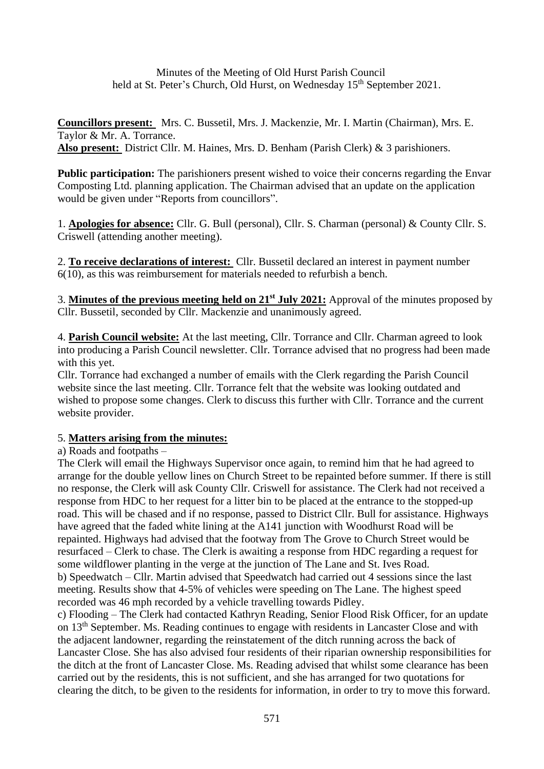Minutes of the Meeting of Old Hurst Parish Council held at St. Peter's Church, Old Hurst, on Wednesday 15<sup>th</sup> September 2021.

**Councillors present:** Mrs. C. Bussetil, Mrs. J. Mackenzie, Mr. I. Martin (Chairman), Mrs. E. Taylor & Mr. A. Torrance. **Also present:** District Cllr. M. Haines, Mrs. D. Benham (Parish Clerk) & 3 parishioners.

**Public participation:** The parishioners present wished to voice their concerns regarding the Envar Composting Ltd. planning application. The Chairman advised that an update on the application would be given under "Reports from councillors".

1. **Apologies for absence:** Cllr. G. Bull (personal), Cllr. S. Charman (personal) & County Cllr. S. Criswell (attending another meeting).

2. **To receive declarations of interest:** Cllr. Bussetil declared an interest in payment number 6(10), as this was reimbursement for materials needed to refurbish a bench.

3. **Minutes of the previous meeting held on 21st July 2021:** Approval of the minutes proposed by Cllr. Bussetil, seconded by Cllr. Mackenzie and unanimously agreed.

4. **Parish Council website:** At the last meeting, Cllr. Torrance and Cllr. Charman agreed to look into producing a Parish Council newsletter. Cllr. Torrance advised that no progress had been made with this yet.

Cllr. Torrance had exchanged a number of emails with the Clerk regarding the Parish Council website since the last meeting. Cllr. Torrance felt that the website was looking outdated and wished to propose some changes. Clerk to discuss this further with Cllr. Torrance and the current website provider.

### 5. **Matters arising from the minutes:**

#### a) Roads and footpaths –

The Clerk will email the Highways Supervisor once again, to remind him that he had agreed to arrange for the double yellow lines on Church Street to be repainted before summer. If there is still no response, the Clerk will ask County Cllr. Criswell for assistance. The Clerk had not received a response from HDC to her request for a litter bin to be placed at the entrance to the stopped-up road. This will be chased and if no response, passed to District Cllr. Bull for assistance. Highways have agreed that the faded white lining at the A141 junction with Woodhurst Road will be repainted. Highways had advised that the footway from The Grove to Church Street would be resurfaced – Clerk to chase. The Clerk is awaiting a response from HDC regarding a request for some wildflower planting in the verge at the junction of The Lane and St. Ives Road. b) Speedwatch – Cllr. Martin advised that Speedwatch had carried out 4 sessions since the last meeting. Results show that 4-5% of vehicles were speeding on The Lane. The highest speed recorded was 46 mph recorded by a vehicle travelling towards Pidley.

c) Flooding – The Clerk had contacted Kathryn Reading, Senior Flood Risk Officer, for an update on 13<sup>th</sup> September. Ms. Reading continues to engage with residents in Lancaster Close and with the adjacent landowner, regarding the reinstatement of the ditch running across the back of Lancaster Close. She has also advised four residents of their riparian ownership responsibilities for the ditch at the front of Lancaster Close. Ms. Reading advised that whilst some clearance has been carried out by the residents, this is not sufficient, and she has arranged for two quotations for clearing the ditch, to be given to the residents for information, in order to try to move this forward.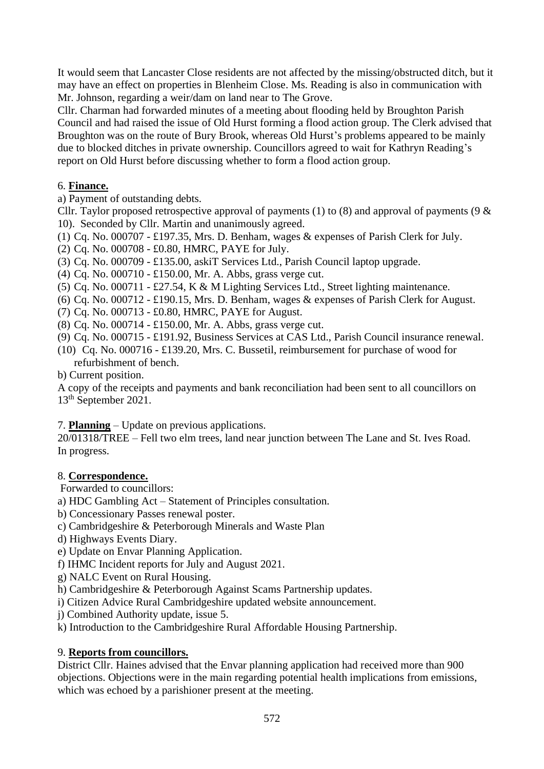It would seem that Lancaster Close residents are not affected by the missing/obstructed ditch, but it may have an effect on properties in Blenheim Close. Ms. Reading is also in communication with Mr. Johnson, regarding a weir/dam on land near to The Grove.

Cllr. Charman had forwarded minutes of a meeting about flooding held by Broughton Parish Council and had raised the issue of Old Hurst forming a flood action group. The Clerk advised that Broughton was on the route of Bury Brook, whereas Old Hurst's problems appeared to be mainly due to blocked ditches in private ownership. Councillors agreed to wait for Kathryn Reading's report on Old Hurst before discussing whether to form a flood action group.

## 6. **Finance.**

a) Payment of outstanding debts.

Cllr. Taylor proposed retrospective approval of payments (1) to (8) and approval of payments (9  $\&$ 10). Seconded by Cllr. Martin and unanimously agreed.

(1) Cq. No. 000707 - £197.35, Mrs. D. Benham, wages & expenses of Parish Clerk for July.

(2) Cq. No. 000708 - £0.80, HMRC, PAYE for July.

(3) Cq. No. 000709 - £135.00, askiT Services Ltd., Parish Council laptop upgrade.

(4) Cq. No. 000710 - £150.00, Mr. A. Abbs, grass verge cut.

(5) Cq. No. 000711 - £27.54, K & M Lighting Services Ltd., Street lighting maintenance.

(6) Cq. No. 000712 - £190.15, Mrs. D. Benham, wages & expenses of Parish Clerk for August.

(7) Cq. No. 000713 - £0.80, HMRC, PAYE for August.

(8) Cq. No. 000714 - £150.00, Mr. A. Abbs, grass verge cut.

(9) Cq. No. 000715 - £191.92, Business Services at CAS Ltd., Parish Council insurance renewal.

(10) Cq. No. 000716 - £139.20, Mrs. C. Bussetil, reimbursement for purchase of wood for refurbishment of bench.

b) Current position.

A copy of the receipts and payments and bank reconciliation had been sent to all councillors on 13th September 2021.

7. **Planning** – Update on previous applications.

20/01318/TREE – Fell two elm trees, land near junction between The Lane and St. Ives Road. In progress.

# 8. **Correspondence.**

Forwarded to councillors:

a) HDC Gambling Act – Statement of Principles consultation.

b) Concessionary Passes renewal poster.

- c) Cambridgeshire & Peterborough Minerals and Waste Plan
- d) Highways Events Diary.

e) Update on Envar Planning Application.

f) IHMC Incident reports for July and August 2021.

g) NALC Event on Rural Housing.

h) Cambridgeshire & Peterborough Against Scams Partnership updates.

i) Citizen Advice Rural Cambridgeshire updated website announcement.

j) Combined Authority update, issue 5.

k) Introduction to the Cambridgeshire Rural Affordable Housing Partnership.

# 9. **Reports from councillors.**

District Cllr. Haines advised that the Envar planning application had received more than 900 objections. Objections were in the main regarding potential health implications from emissions, which was echoed by a parishioner present at the meeting.